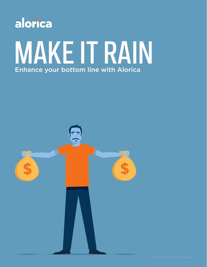

# MAKE IT RAIN Enhance your bottom line with Alorica

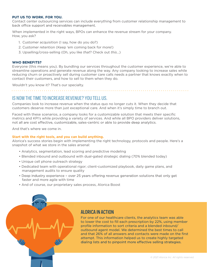#### **PUT US TO WORK. FOR YOU.**

Contact center outsourcing services can include everything from customer relationship management to back office support and receivables management.

When implemented in the right ways, BPOs can enhance the revenue stream for your company. How, you ask?

- 1. Customer acquisition (I say, how do you do?)
- 2. Customer retention (Keep 'em coming back for more!)
- 3. Upselling/cross-selling (Oh, you like *that*? Check out *this*…)

#### **WHO BENEFITS?**

Everyone (this means you). By bundling our services throughout the customer experience, we're able to streamline operations and generate revenue along the way. Any company looking to increase sales while reducing churn or proactively sell during customer care calls needs a partner that knows exactly when to contact their customers, and how to sell to them when they do.

Wouldn't you know it? That's our specialty.

# IS NOW THE TIME TO INCREASE REVENUE? YOU TELL US.

Companies look to increase revenue when the status quo no longer cuts it. When they decide that customers deserve more than just exceptional care. And when it's simply time to branch out.

Faced with these scenarios, a company looks for a customizable solution that meets their specific metrics and KPI's while providing a variety of services. And while all BPO providers deliver solutions, not all are cost effective, customizable, sales-centric or able to provide deep analytics.

And that's where we come in.

#### **Start with the right tools, and you can build anything.**

Alorica's success stories begin with implementing the right technology, protocols and people. Here's a snapshot of what we store in the sales arsenal:

- Analytics, segmentation, lead scoring and predictive modeling
- Blended inbound and outbound with dual-gated strategic dialing (70% blended today)
- Unique cell phone outreach strategy
- Dedicated team with operational rigor; client-customized playbook, daily game plans, and management audits to ensure quality
- Deep industry experience over 25 years offering revenue generation solutions that only get faster and more agile with time
- And of course, our proprietary sales process, Alorica Boost



# ALORICA IN ACTION

For one of our healthcare clients, the analytics team was able to lower the cost to fill each prescription by 22%, using member profile information to sort criteria and a blended inbound/ outbound agent model. We determined the best times to call and that 26% of all answers and contacts were made on the first attempt. This information helped us to create highly targeted dialing lists and to pinpoint more effective selling strategies.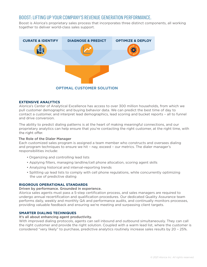## BOOST: LIFTING UP YOUR COMPANY'S REVENUE GENERATION PERFORMANCE.

Boost is Alorica's proprietary sales process that incorporates three distinct components, all working together to deliver world-class sales support.



#### **EXTENSIVE ANALYTICS**

Alorica's Center of Analytical Excellence has access to over 300 million households, from which we pull customer demographic and buying behavior data. We can predict the best time of day to contact a customer, and interpret lead demographics, lead scoring and bucket reports – all to funnel and drive conversion.

The ability to predict dialing patterns is at the heart of making meaningful connections, and our proprietary analytics can help ensure that you're contacting the right customer, at the right time, with the right offer.

#### The Role of the Dialer Manager

Each customized sales program is assigned a team member who constructs and oversees dialing and program techniques to ensure we hit – nay, exceed – our metrics. The dialer manager's responsibilities include:

- Organizing and controlling lead lists
- Applying filters, managing landline/cell phone allocation, scoring agent skills
- Analyzing historical and interval-reporting trends
- Splitting up lead lists to comply with cell phone regulations, while concurrently optimizing the use of predictive dialing

#### **RIGOROUS OPERATIONAL STANDARDS**

## Driven by performance. Grounded in experience.

Alorica sales agents must pass a 5-step certification process, and sales managers are required to undergo annual recertification and qualification procedures. Our dedicated Quality Assurance team performs daily, weekly and monthly QA and performance audits, and continually monitors processes, providing valuable feedback and ensuring we're meeting and surpassing client targets.

## **SMARTER DIALING TECHNIQUES**

## It's all about enhancing agent productivity.

With improved dialing protocols, agents can sell inbound and outbound simultaneously. They can call the right customer and provide the right solution. Coupled with a warm lead list, where the customer is considered "very likely" to purchase, predictive analytics routinely increase sales results by 20 – 25%.